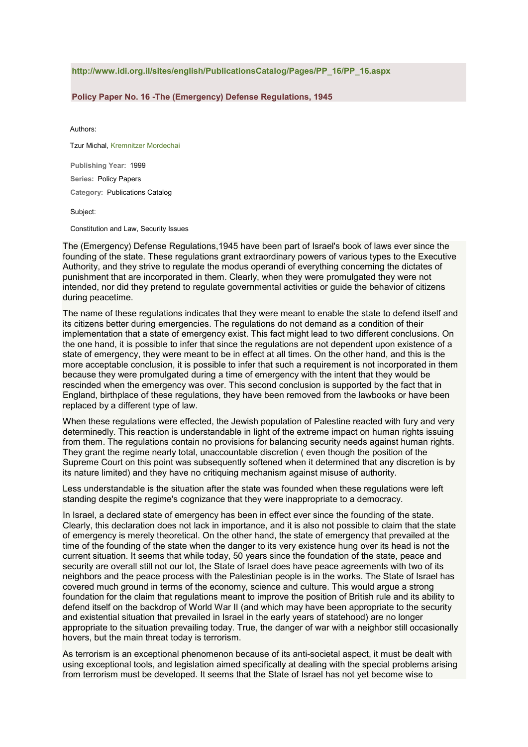## **http://www.idi.org.il/sites/english/PublicationsCatalog/Pages/PP\_16/PP\_16.aspx**

## **Policy Paper No. 16 -The (Emergency) Defense Regulations, 1945**

Authors:

Tzur Michal, Kremnitzer Mordechai

**Publishing Year:** 1999 **Series:** Policy Papers

**Category:** Publications Catalog

Subject:

Constitution and Law, Security Issues

The (Emergency) Defense Regulations,1945 have been part of Israel's book of laws ever since the founding of the state. These regulations grant extraordinary powers of various types to the Executive Authority, and they strive to regulate the modus operandi of everything concerning the dictates of punishment that are incorporated in them. Clearly, when they were promulgated they were not intended, nor did they pretend to regulate governmental activities or guide the behavior of citizens during peacetime.

The name of these regulations indicates that they were meant to enable the state to defend itself and its citizens better during emergencies. The regulations do not demand as a condition of their implementation that a state of emergency exist. This fact might lead to two different conclusions. On the one hand, it is possible to infer that since the regulations are not dependent upon existence of a state of emergency, they were meant to be in effect at all times. On the other hand, and this is the more acceptable conclusion, it is possible to infer that such a requirement is not incorporated in them because they were promulgated during a time of emergency with the intent that they would be rescinded when the emergency was over. This second conclusion is supported by the fact that in England, birthplace of these regulations, they have been removed from the lawbooks or have been replaced by a different type of law.

When these regulations were effected, the Jewish population of Palestine reacted with fury and very determinedly. This reaction is understandable in light of the extreme impact on human rights issuing from them. The regulations contain no provisions for balancing security needs against human rights. They grant the regime nearly total, unaccountable discretion ( even though the position of the Supreme Court on this point was subsequently softened when it determined that any discretion is by its nature limited) and they have no critiquing mechanism against misuse of authority.

Less understandable is the situation after the state was founded when these regulations were left standing despite the regime's cognizance that they were inappropriate to a democracy.

In Israel, a declared state of emergency has been in effect ever since the founding of the state. Clearly, this declaration does not lack in importance, and it is also not possible to claim that the state of emergency is merely theoretical. On the other hand, the state of emergency that prevailed at the time of the founding of the state when the danger to its very existence hung over its head is not the current situation. It seems that while today, 50 years since the foundation of the state, peace and security are overall still not our lot, the State of Israel does have peace agreements with two of its neighbors and the peace process with the Palestinian people is in the works. The State of Israel has covered much ground in terms of the economy, science and culture. This would argue a strong foundation for the claim that regulations meant to improve the position of British rule and its ability to defend itself on the backdrop of World War II (and which may have been appropriate to the security and existential situation that prevailed in Israel in the early years of statehood) are no longer appropriate to the situation prevailing today. True, the danger of war with a neighbor still occasionally hovers, but the main threat today is terrorism.

As terrorism is an exceptional phenomenon because of its anti-societal aspect, it must be dealt with using exceptional tools, and legislation aimed specifically at dealing with the special problems arising from terrorism must be developed. It seems that the State of Israel has not yet become wise to